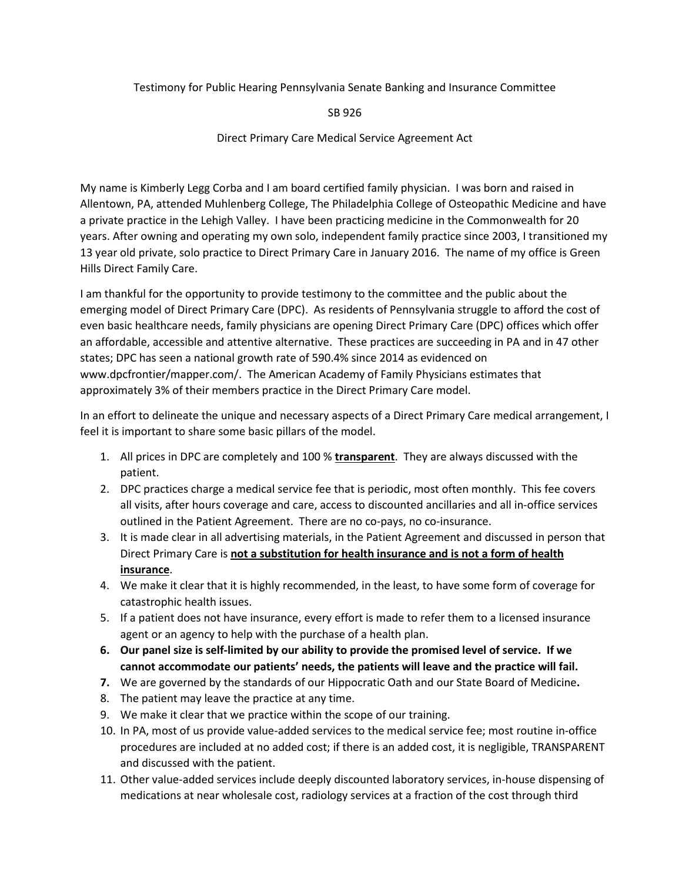Testimony for Public Hearing Pennsylvania Senate Banking and Insurance Committee

SB 926

Direct Primary Care Medical Service Agreement Act

My name is Kimberly Legg Corba and I am board certified family physician. I was born and raised in Allentown, PA, attended Muhlenberg College, The Philadelphia College of Osteopathic Medicine and have a private practice in the Lehigh Valley. I have been practicing medicine in the Commonwealth for 20 years. After owning and operating my own solo, independent family practice since 2003, I transitioned my 13 year old private, solo practice to Direct Primary Care in January 2016. The name of my office is Green Hills Direct Family Care.

I am thankful for the opportunity to provide testimony to the committee and the public about the emerging model of Direct Primary Care (DPC). As residents of Pennsylvania struggle to afford the cost of even basic healthcare needs, family physicians are opening Direct Primary Care (DPC) offices which offer an affordable, accessible and attentive alternative. These practices are succeeding in PA and in 47 other states; DPC has seen a national growth rate of 590.4% since 2014 as evidenced on www.dpcfrontier/mapper.com/. The American Academy of Family Physicians estimates that approximately 3% of their members practice in the Direct Primary Care model.

In an effort to delineate the unique and necessary aspects of a Direct Primary Care medical arrangement, I feel it is important to share some basic pillars of the model.

- 1. All prices in DPC are completely and 100 % **transparent**. They are always discussed with the patient.
- 2. DPC practices charge a medical service fee that is periodic, most often monthly. This fee covers all visits, after hours coverage and care, access to discounted ancillaries and all in-office services outlined in the Patient Agreement. There are no co-pays, no co-insurance.
- 3. It is made clear in all advertising materials, in the Patient Agreement and discussed in person that Direct Primary Care is **not a substitution for health insurance and is not a form of health insurance**.
- 4. We make it clear that it is highly recommended, in the least, to have some form of coverage for catastrophic health issues.
- 5. If a patient does not have insurance, every effort is made to refer them to a licensed insurance agent or an agency to help with the purchase of a health plan.
- **6. Our panel size is self-limited by our ability to provide the promised level of service. If we cannot accommodate our patients' needs, the patients will leave and the practice will fail.**
- **7.** We are governed by the standards of our Hippocratic Oath and our State Board of Medicine**.**
- 8. The patient may leave the practice at any time.
- 9. We make it clear that we practice within the scope of our training.
- 10. In PA, most of us provide value-added services to the medical service fee; most routine in-office procedures are included at no added cost; if there is an added cost, it is negligible, TRANSPARENT and discussed with the patient.
- 11. Other value-added services include deeply discounted laboratory services, in-house dispensing of medications at near wholesale cost, radiology services at a fraction of the cost through third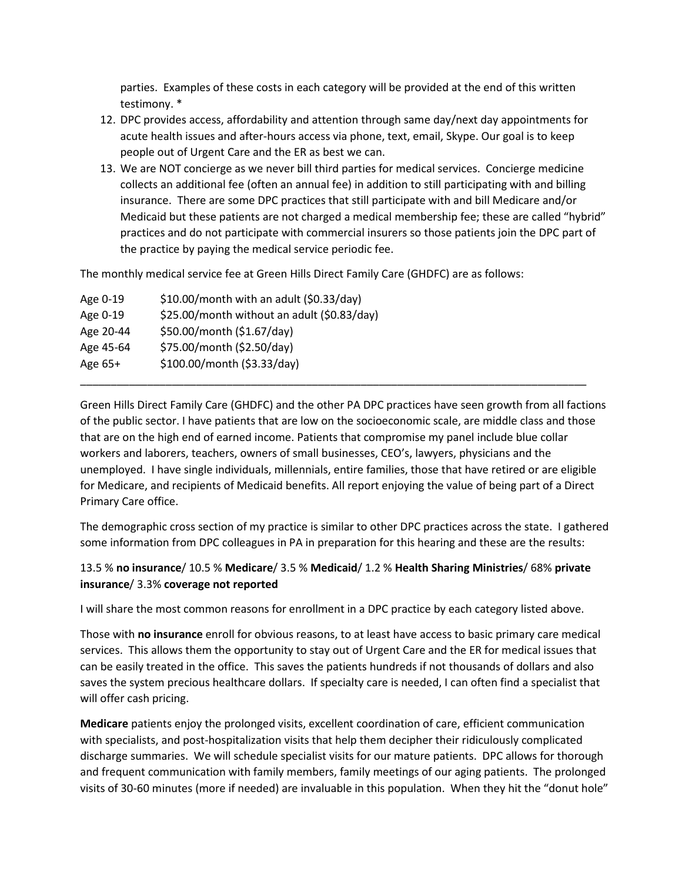parties. Examples of these costs in each category will be provided at the end of this written testimony. \*

- 12. DPC provides access, affordability and attention through same day/next day appointments for acute health issues and after-hours access via phone, text, email, Skype. Our goal is to keep people out of Urgent Care and the ER as best we can.
- 13. We are NOT concierge as we never bill third parties for medical services. Concierge medicine collects an additional fee (often an annual fee) in addition to still participating with and billing insurance. There are some DPC practices that still participate with and bill Medicare and/or Medicaid but these patients are not charged a medical membership fee; these are called "hybrid" practices and do not participate with commercial insurers so those patients join the DPC part of the practice by paying the medical service periodic fee.

The monthly medical service fee at Green Hills Direct Family Care (GHDFC) are as follows:

| Age 0-19  | $$10.00/m$ onth with an adult (\$0.33/day)  |
|-----------|---------------------------------------------|
| Age 0-19  | \$25.00/month without an adult (\$0.83/day) |
| Age 20-44 | \$50.00/month (\$1.67/day)                  |
| Age 45-64 | \$75.00/month (\$2.50/day)                  |
| Age $65+$ | \$100.00/month (\$3.33/day)                 |
|           |                                             |

Green Hills Direct Family Care (GHDFC) and the other PA DPC practices have seen growth from all factions of the public sector. I have patients that are low on the socioeconomic scale, are middle class and those that are on the high end of earned income. Patients that compromise my panel include blue collar workers and laborers, teachers, owners of small businesses, CEO's, lawyers, physicians and the unemployed. I have single individuals, millennials, entire families, those that have retired or are eligible for Medicare, and recipients of Medicaid benefits. All report enjoying the value of being part of a Direct Primary Care office.

The demographic cross section of my practice is similar to other DPC practices across the state. I gathered some information from DPC colleagues in PA in preparation for this hearing and these are the results:

## 13.5 % **no insurance**/ 10.5 % **Medicare**/ 3.5 % **Medicaid**/ 1.2 % **Health Sharing Ministries**/ 68% **private insurance**/ 3.3% **coverage not reported**

I will share the most common reasons for enrollment in a DPC practice by each category listed above.

Those with **no insurance** enroll for obvious reasons, to at least have access to basic primary care medical services. This allows them the opportunity to stay out of Urgent Care and the ER for medical issues that can be easily treated in the office. This saves the patients hundreds if not thousands of dollars and also saves the system precious healthcare dollars. If specialty care is needed, I can often find a specialist that will offer cash pricing.

**Medicare** patients enjoy the prolonged visits, excellent coordination of care, efficient communication with specialists, and post-hospitalization visits that help them decipher their ridiculously complicated discharge summaries. We will schedule specialist visits for our mature patients. DPC allows for thorough and frequent communication with family members, family meetings of our aging patients. The prolonged visits of 30-60 minutes (more if needed) are invaluable in this population. When they hit the "donut hole"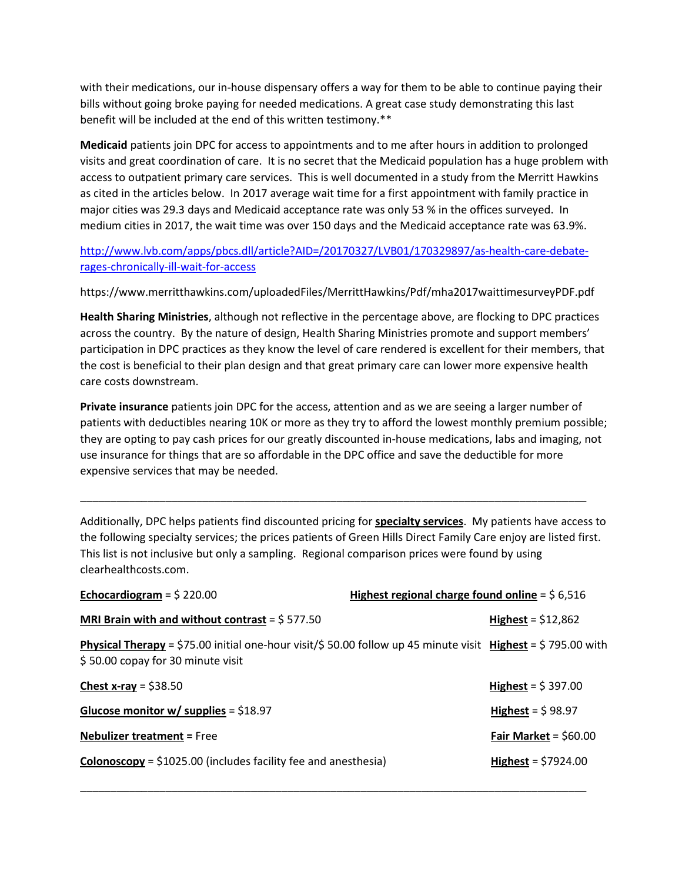with their medications, our in-house dispensary offers a way for them to be able to continue paying their bills without going broke paying for needed medications. A great case study demonstrating this last benefit will be included at the end of this written testimony.\*\*

**Medicaid** patients join DPC for access to appointments and to me after hours in addition to prolonged visits and great coordination of care. It is no secret that the Medicaid population has a huge problem with access to outpatient primary care services. This is well documented in a study from the Merritt Hawkins as cited in the articles below. In 2017 average wait time for a first appointment with family practice in major cities was 29.3 days and Medicaid acceptance rate was only 53 % in the offices surveyed. In medium cities in 2017, the wait time was over 150 days and the Medicaid acceptance rate was 63.9%.

[http://www.lvb.com/apps/pbcs.dll/article?AID=/20170327/LVB01/170329897/as-health-care-debate](http://www.lvb.com/apps/pbcs.dll/article?AID=/20170327/LVB01/170329897/as-health-care-debate-rages-chronically-ill-wait-for-access)[rages-chronically-ill-wait-for-access](http://www.lvb.com/apps/pbcs.dll/article?AID=/20170327/LVB01/170329897/as-health-care-debate-rages-chronically-ill-wait-for-access)

https://www.merritthawkins.com/uploadedFiles/MerrittHawkins/Pdf/mha2017waittimesurveyPDF.pdf

**Health Sharing Ministries**, although not reflective in the percentage above, are flocking to DPC practices across the country. By the nature of design, Health Sharing Ministries promote and support members' participation in DPC practices as they know the level of care rendered is excellent for their members, that the cost is beneficial to their plan design and that great primary care can lower more expensive health care costs downstream.

**Private insurance** patients join DPC for the access, attention and as we are seeing a larger number of patients with deductibles nearing 10K or more as they try to afford the lowest monthly premium possible; they are opting to pay cash prices for our greatly discounted in-house medications, labs and imaging, not use insurance for things that are so affordable in the DPC office and save the deductible for more expensive services that may be needed.

Additionally, DPC helps patients find discounted pricing for **specialty services**. My patients have access to the following specialty services; the prices patients of Green Hills Direct Family Care enjoy are listed first. This list is not inclusive but only a sampling. Regional comparison prices were found by using clearhealthcosts.com.

\_\_\_\_\_\_\_\_\_\_\_\_\_\_\_\_\_\_\_\_\_\_\_\_\_\_\_\_\_\_\_\_\_\_\_\_\_\_\_\_\_\_\_\_\_\_\_\_\_\_\_\_\_\_\_\_\_\_\_\_\_\_\_\_\_\_\_\_\_\_\_\_\_\_\_\_\_\_\_\_\_\_\_

| Echocardiogram = $$220.00$                                                                                                                               | Highest regional charge found online = $$6,516$ |                             |
|----------------------------------------------------------------------------------------------------------------------------------------------------------|-------------------------------------------------|-----------------------------|
| MRI Brain with and without contrast = $$577.50$                                                                                                          |                                                 | Highest = $$12,862$         |
| <b>Physical Therapy</b> = \$75.00 initial one-hour visit/\$ 50.00 follow up 45 minute visit Highest = \$795.00 with<br>\$50.00 copay for 30 minute visit |                                                 |                             |
| Chest x-ray = $$38.50$                                                                                                                                   |                                                 | Highest = $$397.00$         |
| Glucose monitor w/ supplies = $$18.97$                                                                                                                   |                                                 | Highest = $$98.97$          |
| <b>Nebulizer treatment = Free</b>                                                                                                                        |                                                 | Fair Market = $$60.00$      |
| <b>Colonoscopy</b> = $$1025.00$ (includes facility fee and anesthesia)                                                                                   |                                                 | <b>Highest</b> = $$7924.00$ |

\_\_\_\_\_\_\_\_\_\_\_\_\_\_\_\_\_\_\_\_\_\_\_\_\_\_\_\_\_\_\_\_\_\_\_\_\_\_\_\_\_\_\_\_\_\_\_\_\_\_\_\_\_\_\_\_\_\_\_\_\_\_\_\_\_\_\_\_\_\_\_\_\_\_\_\_\_\_\_\_\_\_\_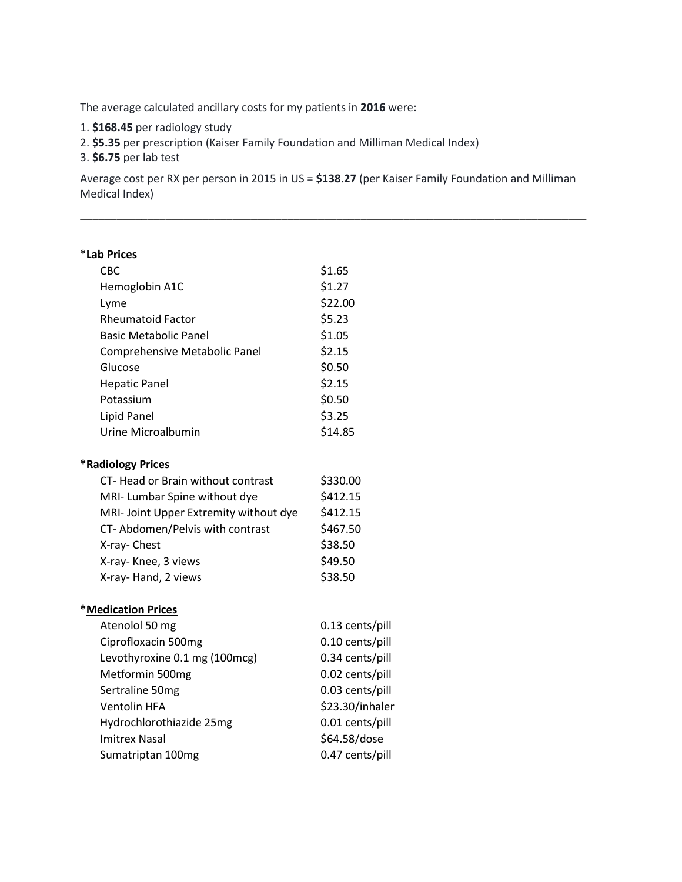The average calculated ancillary costs for my patients in **2016** were:

- 1. **\$168.45** per radiology study
- 2. **\$5.35** per prescription (Kaiser Family Foundation and Milliman Medical Index)
- 3. **\$6.75** per lab test

Average cost per RX per person in 2015 in US = **\$138.27** (per Kaiser Family Foundation and Milliman Medical Index)

\_\_\_\_\_\_\_\_\_\_\_\_\_\_\_\_\_\_\_\_\_\_\_\_\_\_\_\_\_\_\_\_\_\_\_\_\_\_\_\_\_\_\_\_\_\_\_\_\_\_\_\_\_\_\_\_\_\_\_\_\_\_\_\_\_\_\_\_\_\_\_\_\_\_\_\_\_\_\_\_\_\_\_

## \***Lab Prices**

| <b>CBC</b>                             | \$1.65   |
|----------------------------------------|----------|
| Hemoglobin A1C                         | \$1.27   |
| Lyme                                   | \$22.00  |
| <b>Rheumatoid Factor</b>               | \$5.23   |
| <b>Basic Metabolic Panel</b>           | \$1.05   |
| Comprehensive Metabolic Panel          | \$2.15   |
| Glucose                                | \$0.50   |
| <b>Hepatic Panel</b>                   | \$2.15   |
| Potassium                              | \$0.50   |
| <b>Lipid Panel</b>                     | \$3.25   |
| Urine Microalbumin                     | \$14.85  |
|                                        |          |
| *Radiology Prices                      |          |
| CT- Head or Brain without contrast     | \$330.00 |
| MRI- Lumbar Spine without dye          | \$412.15 |
| MRI- Joint Upper Extremity without dye | \$412.15 |
| CT-Abdomen/Pelvis with contrast        | \$467.50 |
| X-ray- Chest                           | \$38.50  |
| X-ray- Knee, 3 views                   | \$49.50  |
| X-ray- Hand, 2 views                   | \$38.50  |
| <b>*Medication Prices</b>              |          |

| Atenolol 50 mg                | 0.13 cents/pill |
|-------------------------------|-----------------|
| Ciprofloxacin 500mg           | 0.10 cents/pill |
| Levothyroxine 0.1 mg (100mcg) | 0.34 cents/pill |
| Metformin 500mg               | 0.02 cents/pill |
| Sertraline 50mg               | 0.03 cents/pill |
| Ventolin HFA                  | \$23.30/inhaler |
| Hydrochlorothiazide 25mg      | 0.01 cents/pill |
| <b>Imitrex Nasal</b>          | \$64.58/dose    |
| Sumatriptan 100mg             | 0.47 cents/pill |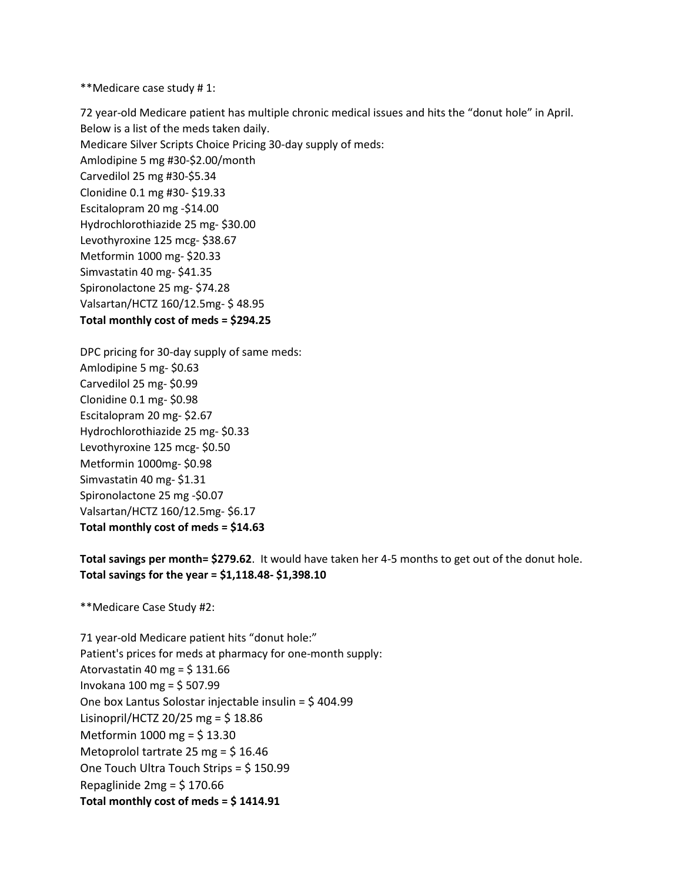\*\*Medicare case study # 1:

72 year-old Medicare patient has multiple chronic medical issues and hits the "donut hole" in April. Below is a list of the meds taken daily. Medicare Silver Scripts Choice Pricing 30-day supply of meds: Amlodipine 5 mg #30-\$2.00/month Carvedilol 25 mg #30-\$5.34 Clonidine 0.1 mg #30- \$19.33 Escitalopram 20 mg -\$14.00 Hydrochlorothiazide 25 mg- \$30.00 Levothyroxine 125 mcg- \$38.67 Metformin 1000 mg- \$20.33 Simvastatin 40 mg- \$41.35 Spironolactone 25 mg- \$74.28 Valsartan/HCTZ 160/12.5mg- \$ 48.95 **Total monthly cost of meds = \$294.25**

DPC pricing for 30-day supply of same meds: Amlodipine 5 mg- \$0.63 Carvedilol 25 mg- \$0.99 Clonidine 0.1 mg- \$0.98 Escitalopram 20 mg- \$2.67 Hydrochlorothiazide 25 mg- \$0.33 Levothyroxine 125 mcg- \$0.50 Metformin 1000mg- \$0.98 Simvastatin 40 mg- \$1.31 Spironolactone 25 mg -\$0.07 Valsartan/HCTZ 160/12.5mg- \$6.17 **Total monthly cost of meds = \$14.63**

**Total savings per month= \$279.62**. It would have taken her 4-5 months to get out of the donut hole. **Total savings for the year = \$1,118.48- \$1,398.10**

\*\*Medicare Case Study #2:

71 year-old Medicare patient hits "donut hole:" Patient's prices for meds at pharmacy for one-month supply: Atorvastatin 40 mg =  $$131.66$ Invokana 100 mg = \$ 507.99 One box Lantus Solostar injectable insulin = \$ 404.99 Lisinopril/HCTZ 20/25 mg =  $$18.86$ Metformin 1000 mg = \$ 13.30 Metoprolol tartrate 25 mg = \$ 16.46 One Touch Ultra Touch Strips = \$ 150.99 Repaglinide  $2mg = 5170.66$ **Total monthly cost of meds = \$ 1414.91**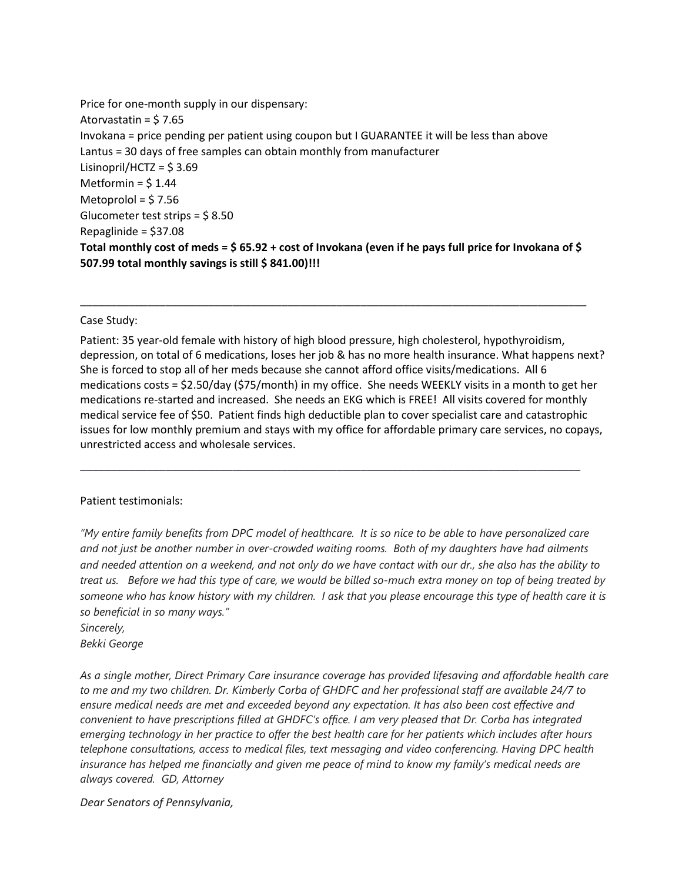Price for one-month supply in our dispensary: Atorvastatin = \$ 7.65 Invokana = price pending per patient using coupon but I GUARANTEE it will be less than above Lantus = 30 days of free samples can obtain monthly from manufacturer Lisinopril/HCTZ =  $$3.69$ Metformin = \$ 1.44 Metoprolol =  $$7.56$ Glucometer test strips = \$ 8.50 Repaglinide = \$37.08 **Total monthly cost of meds = \$ 65.92 + cost of Invokana (even if he pays full price for Invokana of \$ 507.99 total monthly savings is still \$ 841.00)!!!**

## Case Study:

Patient: 35 year-old female with history of high blood pressure, high cholesterol, hypothyroidism, depression, on total of 6 medications, loses her job & has no more health insurance. What happens next? She is forced to stop all of her meds because she cannot afford office visits/medications. All 6 medications costs = \$2.50/day (\$75/month) in my office. She needs WEEKLY visits in a month to get her medications re-started and increased. She needs an EKG which is FREE! All visits covered for monthly medical service fee of \$50. Patient finds high deductible plan to cover specialist care and catastrophic issues for low monthly premium and stays with my office for affordable primary care services, no copays, unrestricted access and wholesale services.

\_\_\_\_\_\_\_\_\_\_\_\_\_\_\_\_\_\_\_\_\_\_\_\_\_\_\_\_\_\_\_\_\_\_\_\_\_\_\_\_\_\_\_\_\_\_\_\_\_\_\_\_\_\_\_\_\_\_\_\_\_\_\_\_\_\_\_\_\_\_\_\_\_\_\_\_\_\_\_\_\_\_

\_\_\_\_\_\_\_\_\_\_\_\_\_\_\_\_\_\_\_\_\_\_\_\_\_\_\_\_\_\_\_\_\_\_\_\_\_\_\_\_\_\_\_\_\_\_\_\_\_\_\_\_\_\_\_\_\_\_\_\_\_\_\_\_\_\_\_\_\_\_\_\_\_\_\_\_\_\_\_\_\_\_\_

## Patient testimonials:

*"My entire family benefits from DPC model of healthcare. It is so nice to be able to have personalized care and not just be another number in over-crowded waiting rooms. Both of my daughters have had ailments and needed attention on a weekend, and not only do we have contact with our dr., she also has the ability to treat us. Before we had this type of care, we would be billed so-much extra money on top of being treated by someone who has know history with my children. I ask that you please encourage this type of health care it is so beneficial in so many ways."* 

*Sincerely, Bekki George* 

*As a single mother, Direct Primary Care insurance coverage has provided lifesaving and affordable health care to me and my two children. Dr. Kimberly Corba of GHDFC and her professional staff are available 24/7 to ensure medical needs are met and exceeded beyond any expectation. It has also been cost effective and convenient to have prescriptions filled at GHDFC's office. I am very pleased that Dr. Corba has integrated emerging technology in her practice to offer the best health care for her patients which includes after hours telephone consultations, access to medical files, text messaging and video conferencing. Having DPC health insurance has helped me financially and given me peace of mind to know my family's medical needs are always covered. GD, Attorney*

*Dear Senators of Pennsylvania,*